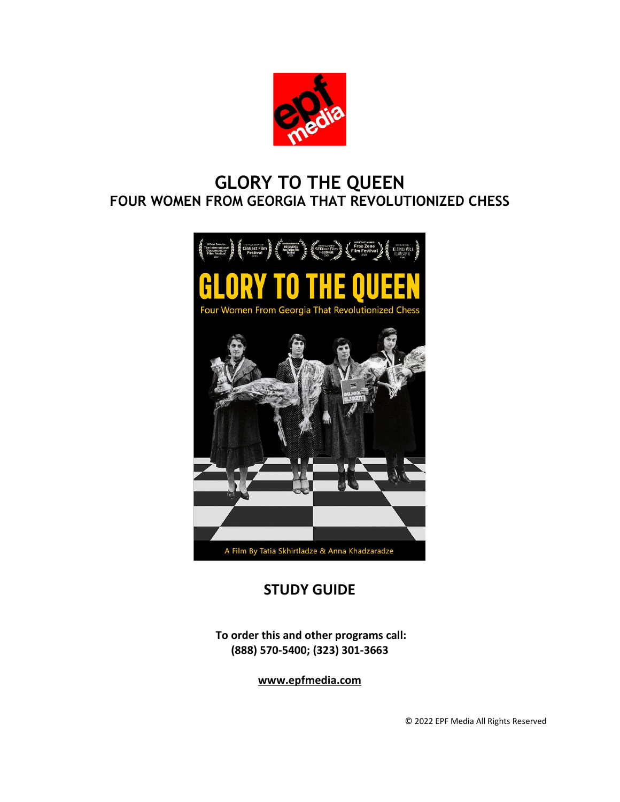

# **GLORY TO THE QUEEN FOUR WOMEN FROM GEORGIA THAT REVOLUTIONIZED CHESS**



# **STUDY GUIDE**

**To order this and other programs call: (888) 570-5400; (323) 301-3663**

**www.epfmedia.com**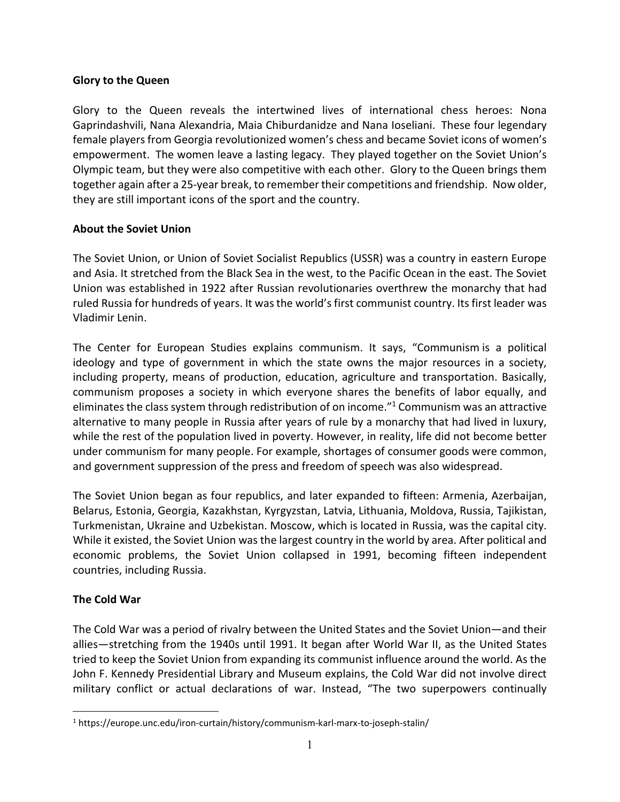## **Glory to the Queen**

Glory to the Queen reveals the intertwined lives of international chess heroes: Nona Gaprindashvili, Nana Alexandria, Maia Chiburdanidze and Nana Ioseliani. These four legendary female players from Georgia revolutionized women's chess and became Soviet icons of women's empowerment. The women leave a lasting legacy. They played together on the Soviet Union's Olympic team, but they were also competitive with each other. Glory to the Queen brings them together again after a 25-year break, to remember their competitions and friendship. Now older, they are still important icons of the sport and the country.

## **About the Soviet Union**

The Soviet Union, or Union of Soviet Socialist Republics (USSR) was a country in eastern Europe and Asia. It stretched from the Black Sea in the west, to the Pacific Ocean in the east. The Soviet Union was established in 1922 after Russian revolutionaries overthrew the monarchy that had ruled Russia for hundreds of years. It was the world's first communist country. Its first leader was Vladimir Lenin.

The Center for European Studies explains communism. It says, "Communism is a political ideology and type of government in which the state owns the major resources in a society, including property, means of production, education, agriculture and transportation. Basically, communism proposes a society in which everyone shares the benefits of labor equally, and eliminates the class system through redistribution of on income."<sup>1</sup> Communism was an attractive alternative to many people in Russia after years of rule by a monarchy that had lived in luxury, while the rest of the population lived in poverty. However, in reality, life did not become better under communism for many people. For example, shortages of consumer goods were common, and government suppression of the press and freedom of speech was also widespread.

The Soviet Union began as four republics, and later expanded to fifteen: Armenia, Azerbaijan, Belarus, Estonia, Georgia, Kazakhstan, Kyrgyzstan, Latvia, Lithuania, Moldova, Russia, Tajikistan, Turkmenistan, Ukraine and Uzbekistan. Moscow, which is located in Russia, was the capital city. While it existed, the Soviet Union was the largest country in the world by area. After political and economic problems, the Soviet Union collapsed in 1991, becoming fifteen independent countries, including Russia.

# **The Cold War**

The Cold War was a period of rivalry between the United States and the Soviet Union—and their allies—stretching from the 1940s until 1991. It began after World War II, as the United States tried to keep the Soviet Union from expanding its communist influence around the world. As the John F. Kennedy Presidential Library and Museum explains, the Cold War did not involve direct military conflict or actual declarations of war. Instead, "The two superpowers continually

<sup>&</sup>lt;sup>1</sup> https://europe.unc.edu/iron-curtain/history/communism-karl-marx-to-joseph-stalin/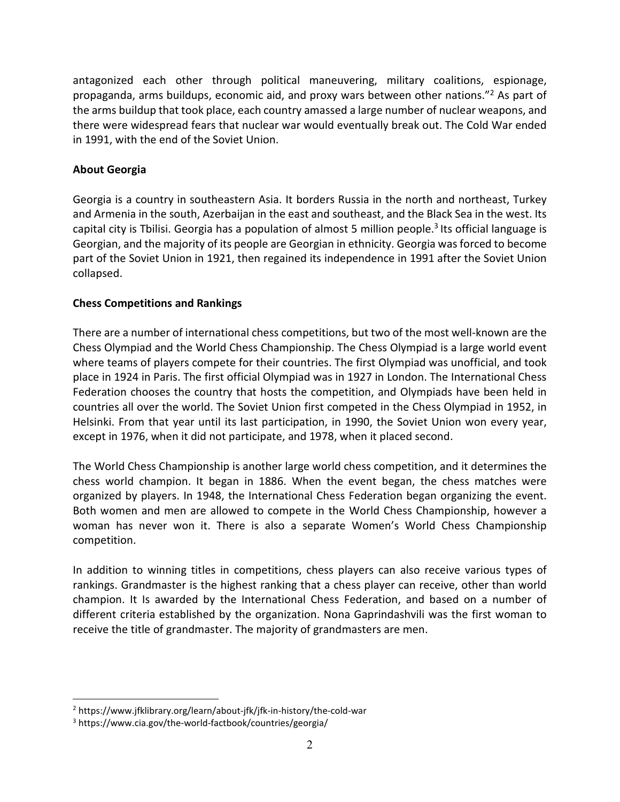antagonized each other through political maneuvering, military coalitions, espionage, propaganda, arms buildups, economic aid, and proxy wars between other nations."<sup>2</sup> As part of the arms buildup that took place, each country amassed a large number of nuclear weapons, and there were widespread fears that nuclear war would eventually break out. The Cold War ended in 1991, with the end of the Soviet Union.

## **About Georgia**

Georgia is a country in southeastern Asia. It borders Russia in the north and northeast, Turkey and Armenia in the south, Azerbaijan in the east and southeast, and the Black Sea in the west. Its capital city is Tbilisi. Georgia has a population of almost 5 million people.<sup>3</sup> Its official language is Georgian, and the majority of its people are Georgian in ethnicity. Georgia was forced to become part of the Soviet Union in 1921, then regained its independence in 1991 after the Soviet Union collapsed.

## **Chess Competitions and Rankings**

There are a number of international chess competitions, but two of the most well-known are the Chess Olympiad and the World Chess Championship. The Chess Olympiad is a large world event where teams of players compete for their countries. The first Olympiad was unofficial, and took place in 1924 in Paris. The first official Olympiad was in 1927 in London. The International Chess Federation chooses the country that hosts the competition, and Olympiads have been held in countries all over the world. The Soviet Union first competed in the Chess Olympiad in 1952, in Helsinki. From that year until its last participation, in 1990, the Soviet Union won every year, except in 1976, when it did not participate, and 1978, when it placed second.

The World Chess Championship is another large world chess competition, and it determines the chess world champion. It began in 1886. When the event began, the chess matches were organized by players. In 1948, the International Chess Federation began organizing the event. Both women and men are allowed to compete in the World Chess Championship, however a woman has never won it. There is also a separate Women's World Chess Championship competition.

In addition to winning titles in competitions, chess players can also receive various types of rankings. Grandmaster is the highest ranking that a chess player can receive, other than world champion. It Is awarded by the International Chess Federation, and based on a number of different criteria established by the organization. Nona Gaprindashvili was the first woman to receive the title of grandmaster. The majority of grandmasters are men.

<sup>2</sup> https://www.jfklibrary.org/learn/about-jfk/jfk-in-history/the-cold-war

<sup>3</sup> https://www.cia.gov/the-world-factbook/countries/georgia/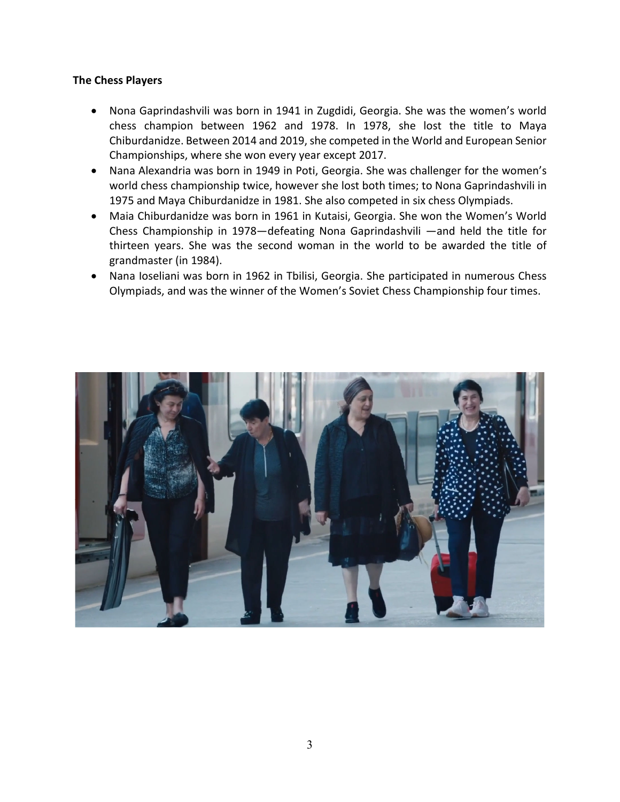#### **The Chess Players**

- Nona Gaprindashvili was born in 1941 in Zugdidi, Georgia. She was the women's world chess champion between 1962 and 1978. In 1978, she lost the title to Maya Chiburdanidze. Between 2014 and 2019, she competed in the World and European Senior Championships, where she won every year except 2017.
- Nana Alexandria was born in 1949 in Poti, Georgia. She was challenger for the women's world chess championship twice, however she lost both times; to Nona Gaprindashvili in 1975 and Maya Chiburdanidze in 1981. She also competed in six chess Olympiads.
- Maia Chiburdanidze was born in 1961 in Kutaisi, Georgia. She won the Women's World Chess Championship in 1978—defeating Nona Gaprindashvili —and held the title for thirteen years. She was the second woman in the world to be awarded the title of grandmaster (in 1984).
- Nana Ioseliani was born in 1962 in Tbilisi, Georgia. She participated in numerous Chess Olympiads, and was the winner of the Women's Soviet Chess Championship four times.